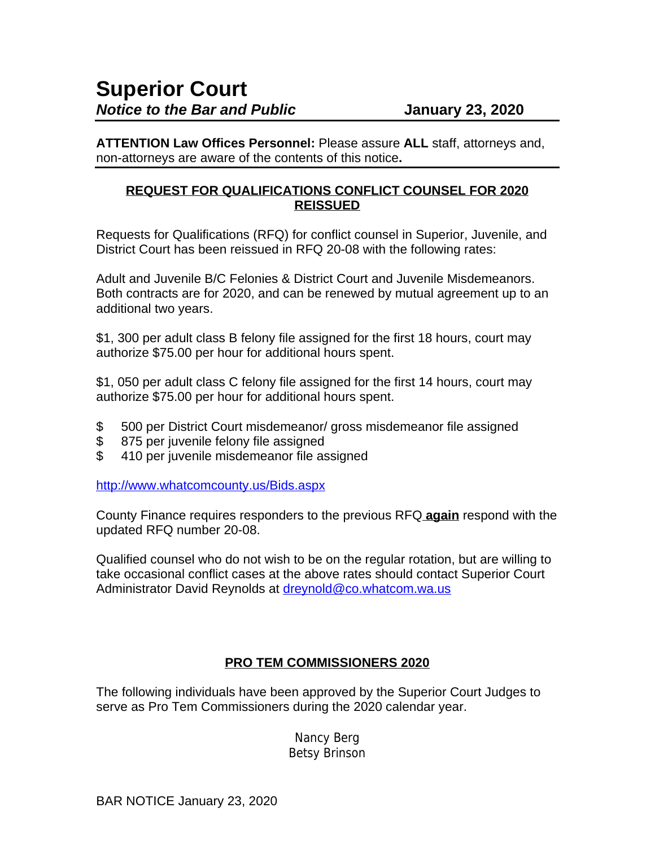**ATTENTION Law Offices Personnel:** Please assure **ALL** staff, attorneys and, non-attorneys are aware of the contents of this notice**.**

## **REQUEST FOR QUALIFICATIONS CONFLICT COUNSEL FOR 2020 REISSUED**

Requests for Qualifications (RFQ) for conflict counsel in Superior, Juvenile, and District Court has been reissued in RFQ 20-08 with the following rates:

Adult and Juvenile B/C Felonies & District Court and Juvenile Misdemeanors. Both contracts are for 2020, and can be renewed by mutual agreement up to an additional two years.

\$1, 300 per adult class B felony file assigned for the first 18 hours, court may authorize \$75.00 per hour for additional hours spent.

\$1, 050 per adult class C felony file assigned for the first 14 hours, court may authorize \$75.00 per hour for additional hours spent.

- \$ 500 per District Court misdemeanor/ gross misdemeanor file assigned
- \$ 875 per juvenile felony file assigned
- \$ 410 per juvenile misdemeanor file assigned

<http://www.whatcomcounty.us/Bids.aspx>

County Finance requires responders to the previous RFQ **again** respond with the updated RFQ number 20-08.

Qualified counsel who do not wish to be on the regular rotation, but are willing to take occasional conflict cases at the above rates should contact Superior Court Administrator David Reynolds at [dreynold@co.whatcom.wa.us](mailto:dreynold@co.whatcom.wa.us)

## **PRO TEM COMMISSIONERS 2020**

The following individuals have been approved by the Superior Court Judges to serve as Pro Tem Commissioners during the 2020 calendar year.

> Nancy Berg Betsy Brinson